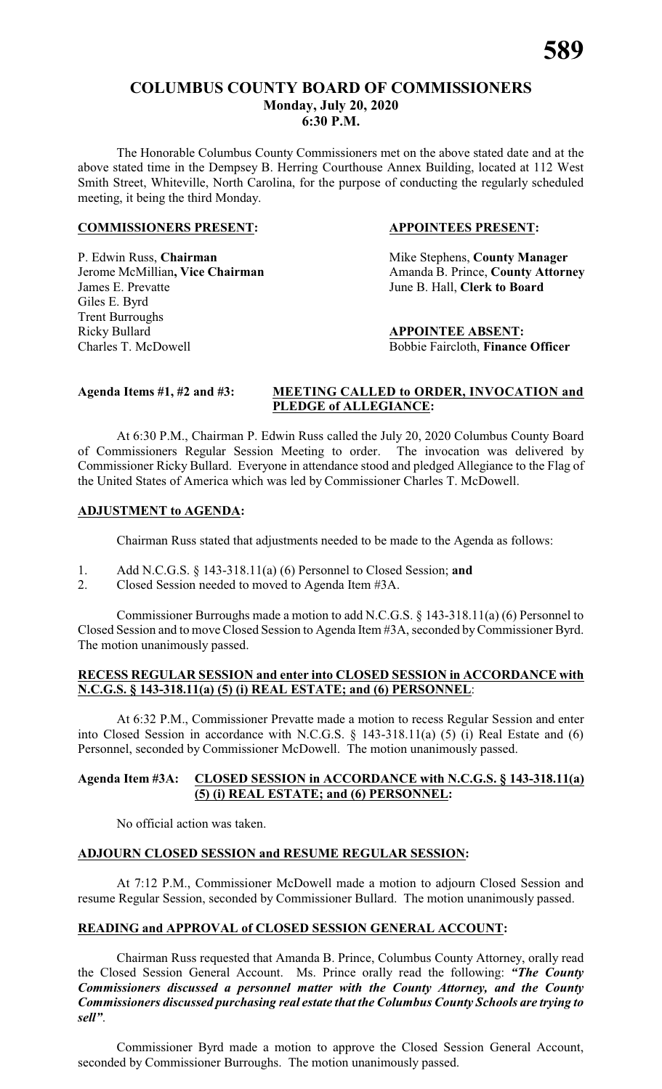# **COLUMBUS COUNTY BOARD OF COMMISSIONERS Monday, July 20, 2020 6:30 P.M.**

The Honorable Columbus County Commissioners met on the above stated date and at the above stated time in the Dempsey B. Herring Courthouse Annex Building, located at 112 West Smith Street, Whiteville, North Carolina, for the purpose of conducting the regularly scheduled meeting, it being the third Monday.

# **COMMISSIONERS PRESENT: APPOINTEES PRESENT:**

P. Edwin Russ, **Chairman** Mike Stephens, **County Manager** James E. Prevatte June B. Hall, **Clerk to Board** Giles E. Byrd Trent Burroughs Ricky Bullard<br>
Charles T. McDowell<br> **APPOINTEE ABSENT:**<br>
Bobbie Faircloth. **Finance** 

Jerome McMillian, Vice Chairman Amanda B. Prince, County Attorney

Bobbie Faircloth, Finance Officer

# **Agenda Items #1, #2 and #3: MEETING CALLED to ORDER, INVOCATION and PLEDGE of ALLEGIANCE:**

At 6:30 P.M., Chairman P. Edwin Russ called the July 20, 2020 Columbus County Board of Commissioners Regular Session Meeting to order. The invocation was delivered by Commissioner Ricky Bullard. Everyone in attendance stood and pledged Allegiance to the Flag of the United States of America which was led by Commissioner Charles T. McDowell.

# **ADJUSTMENT to AGENDA:**

Chairman Russ stated that adjustments needed to be made to the Agenda as follows:

- 1. Add N.C.G.S. § 143-318.11(a) (6) Personnel to Closed Session; **and**
- 2. Closed Session needed to moved to Agenda Item #3A.

Commissioner Burroughs made a motion to add N.C.G.S. § 143-318.11(a) (6) Personnel to Closed Session and to move Closed Session to Agenda Item #3A, seconded byCommissioner Byrd. The motion unanimously passed.

# **RECESS REGULAR SESSION and enter into CLOSED SESSION in ACCORDANCE with N.C.G.S. § 143-318.11(a) (5) (i) REAL ESTATE; and (6) PERSONNEL**:

At 6:32 P.M., Commissioner Prevatte made a motion to recess Regular Session and enter into Closed Session in accordance with N.C.G.S. § 143-318.11(a) (5) (i) Real Estate and (6) Personnel, seconded by Commissioner McDowell. The motion unanimously passed.

# **Agenda Item #3A: CLOSED SESSION in ACCORDANCE with N.C.G.S. § 143-318.11(a) (5) (i) REAL ESTATE; and (6) PERSONNEL:**

No official action was taken.

# **ADJOURN CLOSED SESSION and RESUME REGULAR SESSION:**

At 7:12 P.M., Commissioner McDowell made a motion to adjourn Closed Session and resume Regular Session, seconded by Commissioner Bullard. The motion unanimously passed.

# **READING and APPROVAL of CLOSED SESSION GENERAL ACCOUNT:**

Chairman Russ requested that Amanda B. Prince, Columbus County Attorney, orally read the Closed Session General Account. Ms. Prince orally read the following: *"The County Commissioners discussed a personnel matter with the County Attorney, and the County Commissioners discussed purchasing real estate that the Columbus County Schools are trying to sell"*.

Commissioner Byrd made a motion to approve the Closed Session General Account, seconded by Commissioner Burroughs. The motion unanimously passed.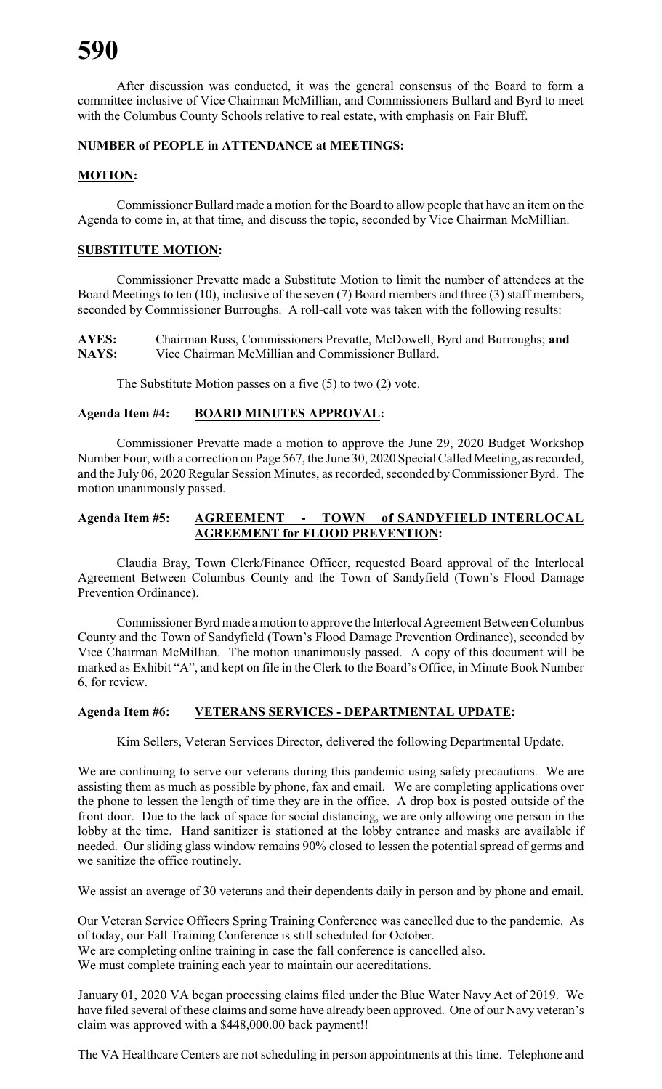After discussion was conducted, it was the general consensus of the Board to form a committee inclusive of Vice Chairman McMillian, and Commissioners Bullard and Byrd to meet with the Columbus County Schools relative to real estate, with emphasis on Fair Bluff.

# **NUMBER of PEOPLE in ATTENDANCE at MEETINGS:**

# **MOTION:**

Commissioner Bullard made a motion for the Board to allow people that have an item on the Agenda to come in, at that time, and discuss the topic, seconded by Vice Chairman McMillian.

# **SUBSTITUTE MOTION:**

Commissioner Prevatte made a Substitute Motion to limit the number of attendees at the Board Meetings to ten (10), inclusive of the seven (7) Board members and three (3) staff members, seconded by Commissioner Burroughs. A roll-call vote was taken with the following results:

**AYES:** Chairman Russ, Commissioners Prevatte, McDowell, Byrd and Burroughs; **and** Vice Chairman McMillian and Commissioner Bullard.

The Substitute Motion passes on a five (5) to two (2) vote.

# **Agenda Item #4: BOARD MINUTES APPROVAL:**

Commissioner Prevatte made a motion to approve the June 29, 2020 Budget Workshop Number Four, with a correction on Page 567, the June 30, 2020 Special Called Meeting, as recorded, and the July 06, 2020 Regular Session Minutes, as recorded, seconded byCommissioner Byrd. The motion unanimously passed.

# **Agenda Item #5: AGREEMENT - TOWN of SANDYFIELD INTERLOCAL AGREEMENT for FLOOD PREVENTION:**

Claudia Bray, Town Clerk/Finance Officer, requested Board approval of the Interlocal Agreement Between Columbus County and the Town of Sandyfield (Town's Flood Damage Prevention Ordinance).

Commissioner Byrd made a motion to approve the Interlocal Agreement Between Columbus County and the Town of Sandyfield (Town's Flood Damage Prevention Ordinance), seconded by Vice Chairman McMillian. The motion unanimously passed. A copy of this document will be marked as Exhibit "A", and kept on file in the Clerk to the Board's Office, in Minute Book Number 6, for review.

#### **Agenda Item #6: VETERANS SERVICES - DEPARTMENTAL UPDATE:**

Kim Sellers, Veteran Services Director, delivered the following Departmental Update.

We are continuing to serve our veterans during this pandemic using safety precautions. We are assisting them as much as possible by phone, fax and email. We are completing applications over the phone to lessen the length of time they are in the office. A drop box is posted outside of the front door. Due to the lack of space for social distancing, we are only allowing one person in the lobby at the time. Hand sanitizer is stationed at the lobby entrance and masks are available if needed. Our sliding glass window remains 90% closed to lessen the potential spread of germs and we sanitize the office routinely.

We assist an average of 30 veterans and their dependents daily in person and by phone and email.

Our Veteran Service Officers Spring Training Conference was cancelled due to the pandemic. As of today, our Fall Training Conference is still scheduled for October. We are completing online training in case the fall conference is cancelled also. We must complete training each year to maintain our accreditations.

January 01, 2020 VA began processing claims filed under the Blue Water Navy Act of 2019. We have filed several of these claims and some have already been approved. One of our Navy veteran's claim was approved with a \$448,000.00 back payment!!

The VA Healthcare Centers are not scheduling in person appointments at this time. Telephone and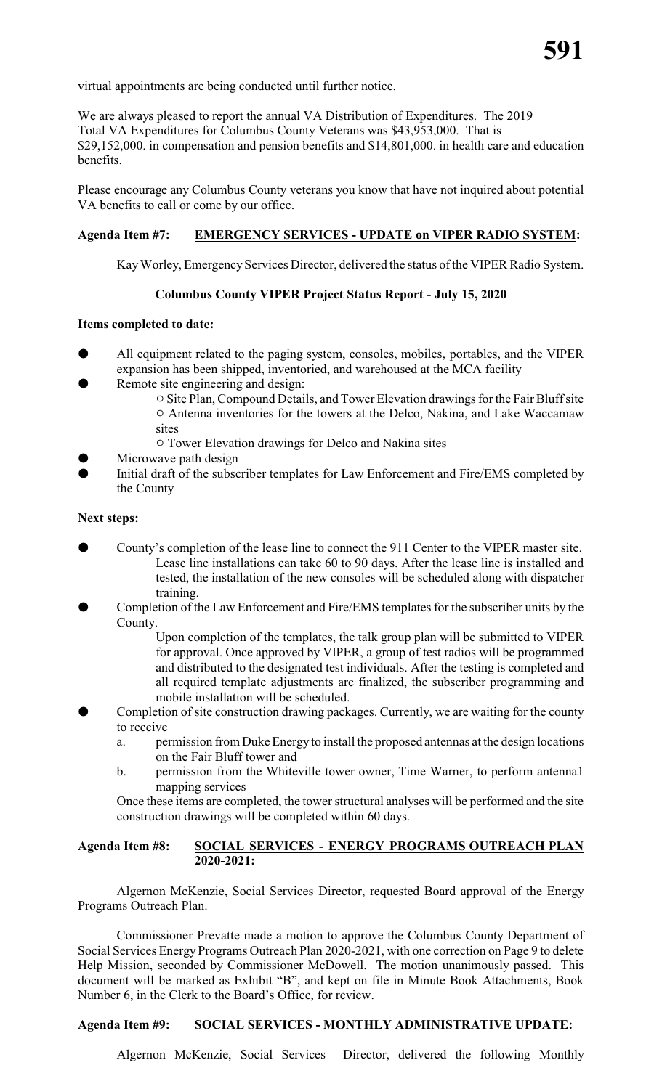virtual appointments are being conducted until further notice.

We are always pleased to report the annual VA Distribution of Expenditures. The 2019 Total VA Expenditures for Columbus County Veterans was \$43,953,000. That is \$29,152,000. in compensation and pension benefits and \$14,801,000. in health care and education benefits.

Please encourage any Columbus County veterans you know that have not inquired about potential VA benefits to call or come by our office.

# **Agenda Item #7: EMERGENCY SERVICES - UPDATE on VIPER RADIO SYSTEM:**

Kay Worley, Emergency Services Director, delivered the status of the VIPER Radio System.

# **Columbus County VIPER Project Status Report - July 15, 2020**

#### **Items completed to date:**

- All equipment related to the paging system, consoles, mobiles, portables, and the VIPER expansion has been shipped, inventoried, and warehoused at the MCA facility
- Remote site engineering and design:
	- $\circ$  Site Plan, Compound Details, and Tower Elevation drawings for the Fair Bluff site  $\circ$  Antenna inventories for the towers at the Delco, Nakina, and Lake Waccamaw sites
	- $\circ$  Tower Elevation drawings for Delco and Nakina sites
- Microwave path design
- Initial draft of the subscriber templates for Law Enforcement and Fire/EMS completed by the County

#### **Next steps:**

- County's completion of the lease line to connect the 911 Center to the VIPER master site. Lease line installations can take 60 to 90 days. After the lease line is installed and tested, the installation of the new consoles will be scheduled along with dispatcher training.
- Completion of the Law Enforcement and Fire/EMS templates for the subscriber units by the County.

Upon completion of the templates, the talk group plan will be submitted to VIPER for approval. Once approved by VIPER, a group of test radios will be programmed and distributed to the designated test individuals. After the testing is completed and all required template adjustments are finalized, the subscriber programming and mobile installation will be scheduled.

- Completion of site construction drawing packages. Currently, we are waiting for the county to receive
	- a. permission from Duke Energy to install the proposed antennas at the design locations on the Fair Bluff tower and
	- b. permission from the Whiteville tower owner, Time Warner, to perform antenna1 mapping services

Once these items are completed, the tower structural analyses will be performed and the site construction drawings will be completed within 60 days.

### **Agenda Item #8: SOCIAL SERVICES - ENERGY PROGRAMS OUTREACH PLAN 2020-2021:**

Algernon McKenzie, Social Services Director, requested Board approval of the Energy Programs Outreach Plan.

Commissioner Prevatte made a motion to approve the Columbus County Department of Social Services Energy Programs Outreach Plan 2020-2021, with one correction on Page 9 to delete Help Mission, seconded by Commissioner McDowell. The motion unanimously passed. This document will be marked as Exhibit "B", and kept on file in Minute Book Attachments, Book Number 6, in the Clerk to the Board's Office, for review.

### **Agenda Item #9: SOCIAL SERVICES - MONTHLY ADMINISTRATIVE UPDATE:**

Algernon McKenzie, Social Services Director, delivered the following Monthly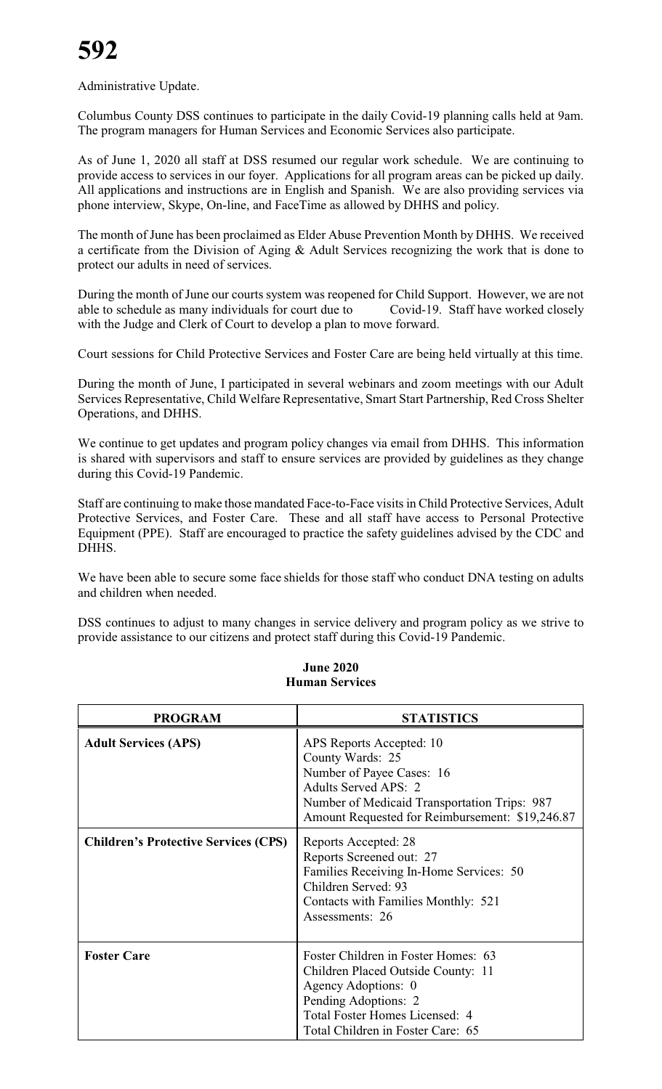Administrative Update.

Columbus County DSS continues to participate in the daily Covid-19 planning calls held at 9am. The program managers for Human Services and Economic Services also participate.

As of June 1, 2020 all staff at DSS resumed our regular work schedule. We are continuing to provide access to services in our foyer. Applications for all program areas can be picked up daily. All applications and instructions are in English and Spanish. We are also providing services via phone interview, Skype, On-line, and FaceTime as allowed by DHHS and policy.

The month of June has been proclaimed as Elder Abuse Prevention Month by DHHS. We received a certificate from the Division of Aging & Adult Services recognizing the work that is done to protect our adults in need of services.

During the month of June our courts system was reopened for Child Support. However, we are not able to schedule as many individuals for court due to Covid-19. Staff have worked closely with the Judge and Clerk of Court to develop a plan to move forward.

Court sessions for Child Protective Services and Foster Care are being held virtually at this time.

During the month of June, I participated in several webinars and zoom meetings with our Adult Services Representative, Child Welfare Representative, Smart Start Partnership, Red Cross Shelter Operations, and DHHS.

We continue to get updates and program policy changes via email from DHHS. This information is shared with supervisors and staff to ensure services are provided by guidelines as they change during this Covid-19 Pandemic.

Staff are continuing to make those mandated Face-to-Face visits in Child Protective Services, Adult Protective Services, and Foster Care. These and all staff have access to Personal Protective Equipment (PPE). Staff are encouraged to practice the safety guidelines advised by the CDC and DHHS.

We have been able to secure some face shields for those staff who conduct DNA testing on adults and children when needed.

DSS continues to adjust to many changes in service delivery and program policy as we strive to provide assistance to our citizens and protect staff during this Covid-19 Pandemic.

| <b>PROGRAM</b>                              | <b>STATISTICS</b>                                                                                                                                                                                           |
|---------------------------------------------|-------------------------------------------------------------------------------------------------------------------------------------------------------------------------------------------------------------|
| <b>Adult Services (APS)</b>                 | APS Reports Accepted: 10<br>County Wards: 25<br>Number of Payee Cases: 16<br><b>Adults Served APS: 2</b><br>Number of Medicaid Transportation Trips: 987<br>Amount Requested for Reimbursement: \$19,246.87 |
| <b>Children's Protective Services (CPS)</b> | Reports Accepted: 28<br>Reports Screened out: 27<br>Families Receiving In-Home Services: 50<br>Children Served: 93<br>Contacts with Families Monthly: 521<br>Assessments: 26                                |
| <b>Foster Care</b>                          | Foster Children in Foster Homes: 63<br>Children Placed Outside County: 11<br>Agency Adoptions: 0<br>Pending Adoptions: 2<br>Total Foster Homes Licensed: 4<br>Total Children in Foster Care: 65             |

### **June 2020 Human Services**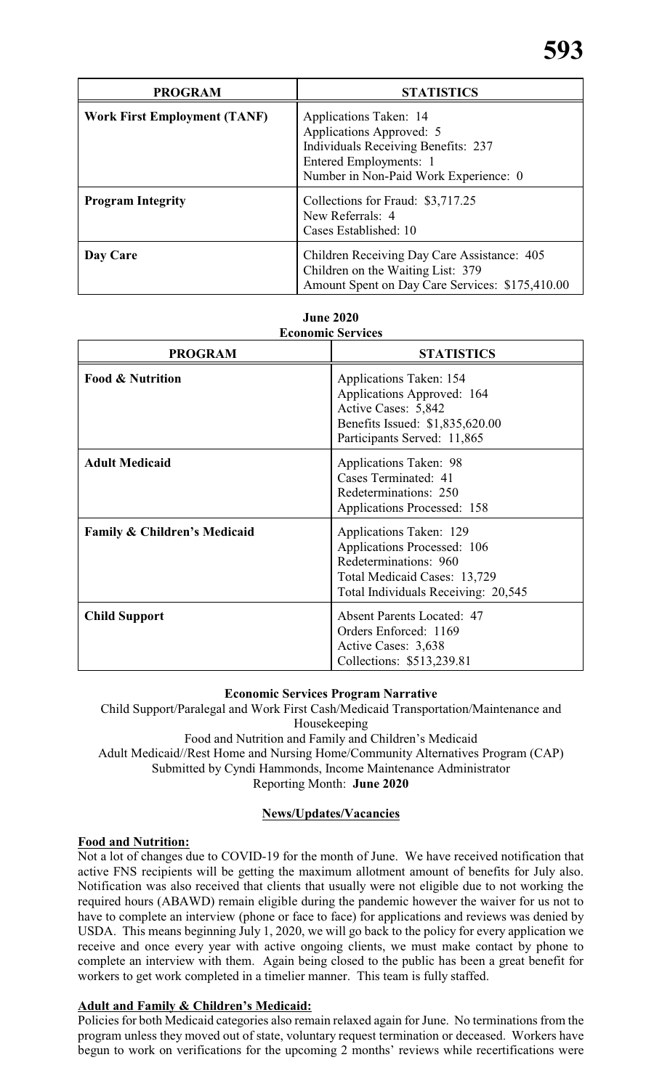| <b>PROGRAM</b>                      | <b>STATISTICS</b>                                                                                                                                                   |
|-------------------------------------|---------------------------------------------------------------------------------------------------------------------------------------------------------------------|
| <b>Work First Employment (TANF)</b> | Applications Taken: 14<br>Applications Approved: 5<br><b>Individuals Receiving Benefits: 237</b><br>Entered Employments: 1<br>Number in Non-Paid Work Experience: 0 |
| <b>Program Integrity</b>            | Collections for Fraud: \$3,717.25<br>New Referrals: 4<br>Cases Established: 10                                                                                      |
| Day Care                            | Children Receiving Day Care Assistance: 405<br>Children on the Waiting List: 379<br>Amount Spent on Day Care Services: \$175,410.00                                 |

| June 2020.               |
|--------------------------|
| <b>Economic Services</b> |

| есопонне эсі уіссэ                      |                                                                                                                                                        |  |  |
|-----------------------------------------|--------------------------------------------------------------------------------------------------------------------------------------------------------|--|--|
| <b>PROGRAM</b>                          | <b>STATISTICS</b>                                                                                                                                      |  |  |
| <b>Food &amp; Nutrition</b>             | <b>Applications Taken: 154</b><br>Applications Approved: 164<br>Active Cases: 5,842<br>Benefits Issued: \$1,835,620.00<br>Participants Served: 11,865  |  |  |
| <b>Adult Medicaid</b>                   | <b>Applications Taken: 98</b><br>Cases Terminated: 41<br>Redeterminations: 250<br><b>Applications Processed: 158</b>                                   |  |  |
| <b>Family &amp; Children's Medicaid</b> | Applications Taken: 129<br>Applications Processed: 106<br>Redeterminations: 960<br>Total Medicaid Cases: 13,729<br>Total Individuals Receiving: 20,545 |  |  |
| <b>Child Support</b>                    | <b>Absent Parents Located: 47</b><br>Orders Enforced: 1169<br>Active Cases: 3,638<br>Collections: \$513,239.81                                         |  |  |

# **Economic Services Program Narrative**

Child Support/Paralegal and Work First Cash/Medicaid Transportation/Maintenance and Housekeeping Food and Nutrition and Family and Children's Medicaid Adult Medicaid//Rest Home and Nursing Home/Community Alternatives Program (CAP) Submitted by Cyndi Hammonds, Income Maintenance Administrator

Reporting Month: **June 2020**

# **News/Updates/Vacancies**

# **Food and Nutrition:**

Not a lot of changes due to COVID-19 for the month of June. We have received notification that active FNS recipients will be getting the maximum allotment amount of benefits for July also. Notification was also received that clients that usually were not eligible due to not working the required hours (ABAWD) remain eligible during the pandemic however the waiver for us not to have to complete an interview (phone or face to face) for applications and reviews was denied by USDA. This means beginning July 1, 2020, we will go back to the policy for every application we receive and once every year with active ongoing clients, we must make contact by phone to complete an interview with them. Again being closed to the public has been a great benefit for workers to get work completed in a timelier manner. This team is fully staffed.

# **Adult and Family & Children's Medicaid:**

Policies for both Medicaid categories also remain relaxed again for June. No terminations from the program unless they moved out of state, voluntary request termination or deceased. Workers have begun to work on verifications for the upcoming 2 months' reviews while recertifications were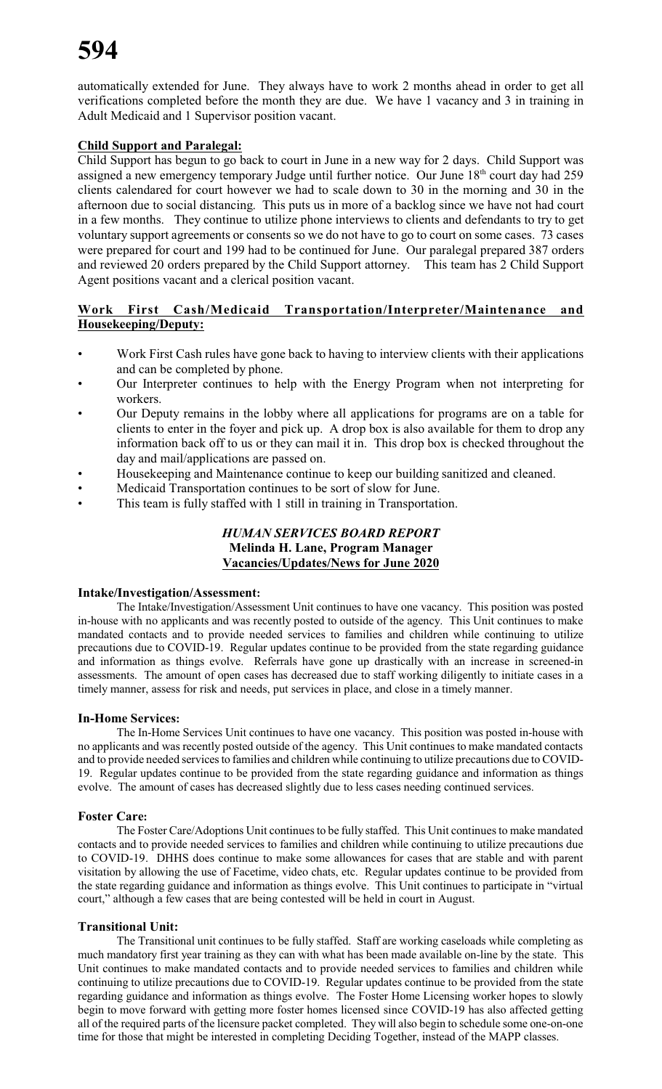automatically extended for June. They always have to work 2 months ahead in order to get all verifications completed before the month they are due. We have 1 vacancy and 3 in training in Adult Medicaid and 1 Supervisor position vacant.

# **Child Support and Paralegal:**

Child Support has begun to go back to court in June in a new way for 2 days. Child Support was assigned a new emergency temporary Judge until further notice. Our June 18<sup>th</sup> court day had 259 clients calendared for court however we had to scale down to 30 in the morning and 30 in the afternoon due to social distancing. This puts us in more of a backlog since we have not had court in a few months. They continue to utilize phone interviews to clients and defendants to try to get voluntary support agreements or consents so we do not have to go to court on some cases. 73 cases were prepared for court and 199 had to be continued for June. Our paralegal prepared 387 orders and reviewed 20 orders prepared by the Child Support attorney. This team has 2 Child Support Agent positions vacant and a clerical position vacant.

# **Work First Cash/Medicaid Transportation/Interpreter/Maintenance and Housekeeping/Deputy:**

- Work First Cash rules have gone back to having to interview clients with their applications and can be completed by phone.
- Our Interpreter continues to help with the Energy Program when not interpreting for workers.
- Our Deputy remains in the lobby where all applications for programs are on a table for clients to enter in the foyer and pick up. A drop box is also available for them to drop any information back off to us or they can mail it in. This drop box is checked throughout the day and mail/applications are passed on.
- Housekeeping and Maintenance continue to keep our building sanitized and cleaned.
- Medicaid Transportation continues to be sort of slow for June.
- This team is fully staffed with 1 still in training in Transportation.

# *HUMAN SERVICES BOARD REPORT* **Melinda H. Lane, Program Manager Vacancies/Updates/News for June 2020**

#### **Intake/Investigation/Assessment:**

The Intake/Investigation/Assessment Unit continues to have one vacancy. This position was posted in-house with no applicants and was recently posted to outside of the agency. This Unit continues to make mandated contacts and to provide needed services to families and children while continuing to utilize precautions due to COVID-19. Regular updates continue to be provided from the state regarding guidance and information as things evolve. Referrals have gone up drastically with an increase in screened-in assessments. The amount of open cases has decreased due to staff working diligently to initiate cases in a timely manner, assess for risk and needs, put services in place, and close in a timely manner.

# **In-Home Services:**

The In-Home Services Unit continues to have one vacancy. This position was posted in-house with no applicants and was recently posted outside of the agency. This Unit continues to make mandated contacts and to provide needed services to families and children while continuing to utilize precautions due to COVID-19. Regular updates continue to be provided from the state regarding guidance and information as things evolve. The amount of cases has decreased slightly due to less cases needing continued services.

# **Foster Care:**

The Foster Care/Adoptions Unit continues to be fully staffed. This Unit continues to make mandated contacts and to provide needed services to families and children while continuing to utilize precautions due to COVID-19. DHHS does continue to make some allowances for cases that are stable and with parent visitation by allowing the use of Facetime, video chats, etc. Regular updates continue to be provided from the state regarding guidance and information as things evolve. This Unit continues to participate in "virtual court," although a few cases that are being contested will be held in court in August.

# **Transitional Unit:**

The Transitional unit continues to be fully staffed. Staff are working caseloads while completing as much mandatory first year training as they can with what has been made available on-line by the state. This Unit continues to make mandated contacts and to provide needed services to families and children while continuing to utilize precautions due to COVID-19. Regular updates continue to be provided from the state regarding guidance and information as things evolve. The Foster Home Licensing worker hopes to slowly begin to move forward with getting more foster homes licensed since COVID-19 has also affected getting all of the required parts of the licensure packet completed. They will also begin to schedule some one-on-one time for those that might be interested in completing Deciding Together, instead of the MAPP classes.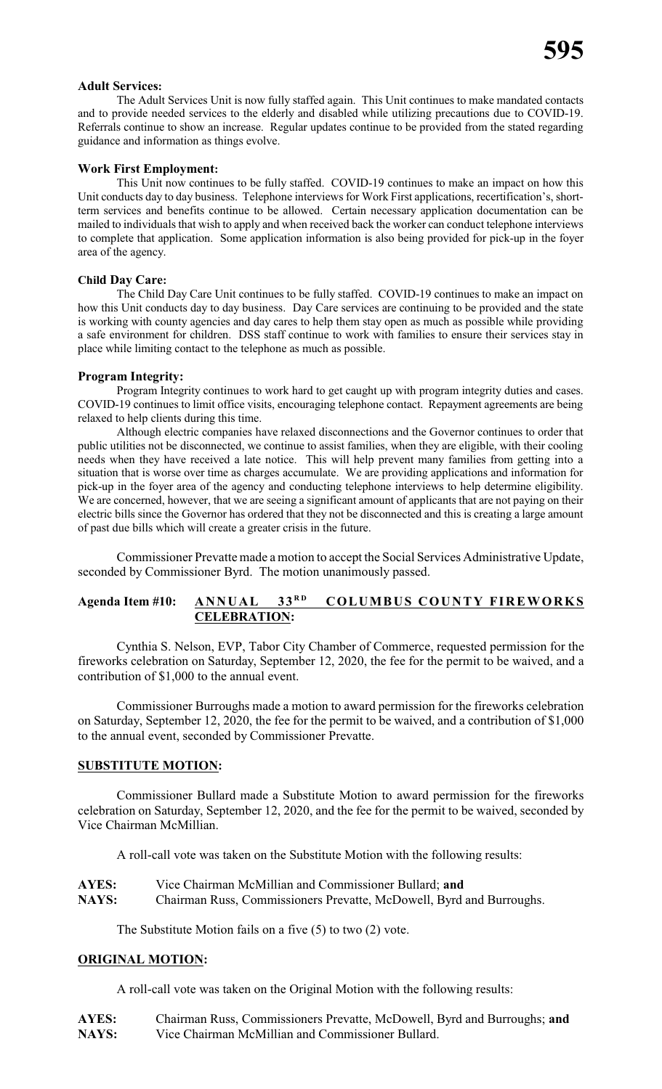#### **Adult Services:**

The Adult Services Unit is now fully staffed again. This Unit continues to make mandated contacts and to provide needed services to the elderly and disabled while utilizing precautions due to COVID-19. Referrals continue to show an increase. Regular updates continue to be provided from the stated regarding guidance and information as things evolve.

### **Work First Employment:**

This Unit now continues to be fully staffed. COVID-19 continues to make an impact on how this Unit conducts day to day business. Telephone interviews for Work First applications, recertification's, shortterm services and benefits continue to be allowed. Certain necessary application documentation can be mailed to individuals that wish to apply and when received back the worker can conduct telephone interviews to complete that application. Some application information is also being provided for pick-up in the foyer area of the agency.

### **Child Day Care:**

The Child Day Care Unit continues to be fully staffed. COVID-19 continues to make an impact on how this Unit conducts day to day business. Day Care services are continuing to be provided and the state is working with county agencies and day cares to help them stay open as much as possible while providing a safe environment for children. DSS staff continue to work with families to ensure their services stay in place while limiting contact to the telephone as much as possible.

### **Program Integrity:**

Program Integrity continues to work hard to get caught up with program integrity duties and cases. COVID-19 continues to limit office visits, encouraging telephone contact. Repayment agreements are being relaxed to help clients during this time.

Although electric companies have relaxed disconnections and the Governor continues to order that public utilities not be disconnected, we continue to assist families, when they are eligible, with their cooling needs when they have received a late notice. This will help prevent many families from getting into a situation that is worse over time as charges accumulate. We are providing applications and information for pick-up in the foyer area of the agency and conducting telephone interviews to help determine eligibility. We are concerned, however, that we are seeing a significant amount of applicants that are not paying on their electric bills since the Governor has ordered that they not be disconnected and this is creating a large amount of past due bills which will create a greater crisis in the future.

Commissioner Prevatte made a motion to accept the Social Services Administrative Update, seconded by Commissioner Byrd. The motion unanimously passed.

#### **Agenda Item #10: ANNUAL 33 <sup>R</sup> <sup>D</sup> COLUMBUS COUNTY FIREWORKS CELEBRATION:**

Cynthia S. Nelson, EVP, Tabor City Chamber of Commerce, requested permission for the fireworks celebration on Saturday, September 12, 2020, the fee for the permit to be waived, and a contribution of \$1,000 to the annual event.

Commissioner Burroughs made a motion to award permission for the fireworks celebration on Saturday, September 12, 2020, the fee for the permit to be waived, and a contribution of \$1,000 to the annual event, seconded by Commissioner Prevatte.

#### **SUBSTITUTE MOTION:**

Commissioner Bullard made a Substitute Motion to award permission for the fireworks celebration on Saturday, September 12, 2020, and the fee for the permit to be waived, seconded by Vice Chairman McMillian.

A roll-call vote was taken on the Substitute Motion with the following results:

| <b>AYES:</b> | Vice Chairman McMillian and Commissioner Bullard; and                |
|--------------|----------------------------------------------------------------------|
| <b>NAYS:</b> | Chairman Russ, Commissioners Prevatte, McDowell, Byrd and Burroughs. |

The Substitute Motion fails on a five (5) to two (2) vote.

# **ORIGINAL MOTION:**

A roll-call vote was taken on the Original Motion with the following results:

**AYES:** Chairman Russ, Commissioners Prevatte, McDowell, Byrd and Burroughs; **and NAYS:** Vice Chairman McMillian and Commissioner Bullard.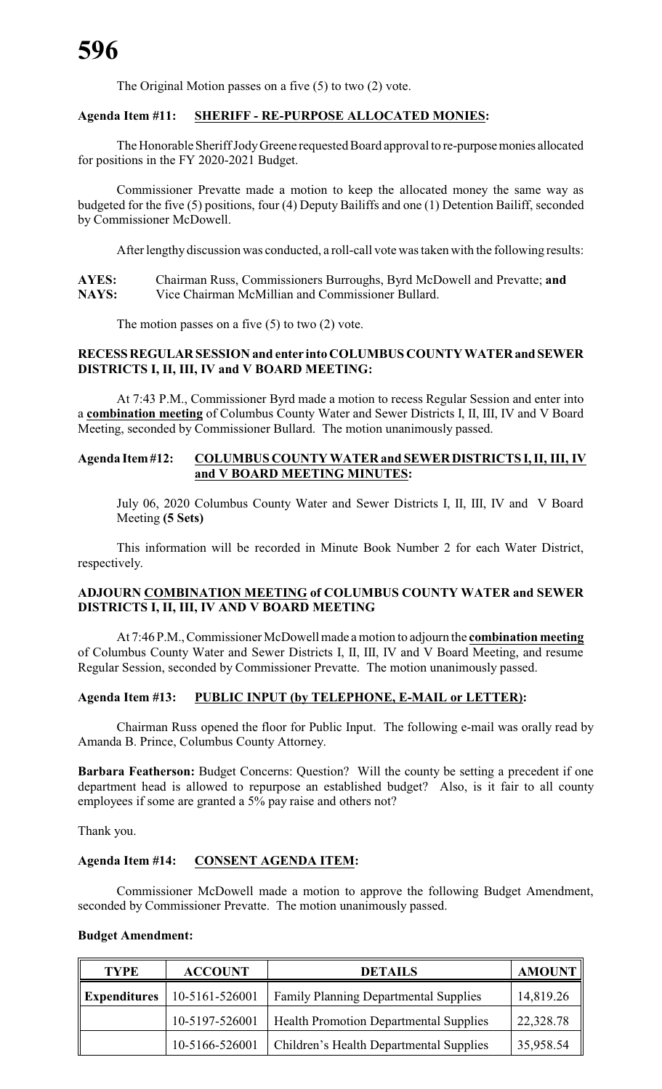The Original Motion passes on a five (5) to two (2) vote.

## **Agenda Item #11: SHERIFF - RE-PURPOSE ALLOCATED MONIES:**

The Honorable Sheriff JodyGreene requested Board approval to re-purposemonies allocated for positions in the FY 2020-2021 Budget.

Commissioner Prevatte made a motion to keep the allocated money the same way as budgeted for the five (5) positions, four (4) Deputy Bailiffs and one (1) Detention Bailiff, seconded by Commissioner McDowell.

After lengthy discussion was conducted, a roll-call vote was taken with the following results:

**AYES:** Chairman Russ, Commissioners Burroughs, Byrd McDowell and Prevatte; **and NAYS:** Vice Chairman McMillian and Commissioner Bullard.

The motion passes on a five  $(5)$  to two  $(2)$  vote.

# **RECESSREGULARSESSION and enter into COLUMBUS COUNTY WATERand SEWER DISTRICTS I, II, III, IV and V BOARD MEETING:**

At 7:43 P.M., Commissioner Byrd made a motion to recess Regular Session and enter into a **combination meeting** of Columbus County Water and Sewer Districts I, II, III, IV and V Board Meeting, seconded by Commissioner Bullard. The motion unanimously passed.

## **Agenda Item#12: COLUMBUS COUNTY WATER and SEWERDISTRICTS I, II, III, IV and V BOARD MEETING MINUTES:**

July 06, 2020 Columbus County Water and Sewer Districts I, II, III, IV and V Board Meeting **(5 Sets)**

This information will be recorded in Minute Book Number 2 for each Water District, respectively.

### **ADJOURN COMBINATION MEETING of COLUMBUS COUNTY WATER and SEWER DISTRICTS I, II, III, IV AND V BOARD MEETING**

At 7:46 P.M.,Commissioner McDowell made a motion to adjourn the **combination meeting** of Columbus County Water and Sewer Districts I, II, III, IV and V Board Meeting, and resume Regular Session, seconded by Commissioner Prevatte. The motion unanimously passed.

# **Agenda Item #13: PUBLIC INPUT (by TELEPHONE, E-MAIL or LETTER):**

Chairman Russ opened the floor for Public Input. The following e-mail was orally read by Amanda B. Prince, Columbus County Attorney.

**Barbara Featherson:** Budget Concerns: Question? Will the county be setting a precedent if one department head is allowed to repurpose an established budget? Also, is it fair to all county employees if some are granted a 5% pay raise and others not?

Thank you.

# **Agenda Item #14: CONSENT AGENDA ITEM:**

Commissioner McDowell made a motion to approve the following Budget Amendment, seconded by Commissioner Prevatte. The motion unanimously passed.

#### **Budget Amendment:**

| <b>TYPE</b>         | <b>ACCOUNT</b> | <b>DETAILS</b>                                | <b>AMOUNT</b> |
|---------------------|----------------|-----------------------------------------------|---------------|
| <b>Expenditures</b> | 10-5161-526001 | <b>Family Planning Departmental Supplies</b>  | 14,819.26     |
|                     | 10-5197-526001 | <b>Health Promotion Departmental Supplies</b> | 22,328.78     |
|                     | 10-5166-526001 | Children's Health Departmental Supplies       | 35,958.54     |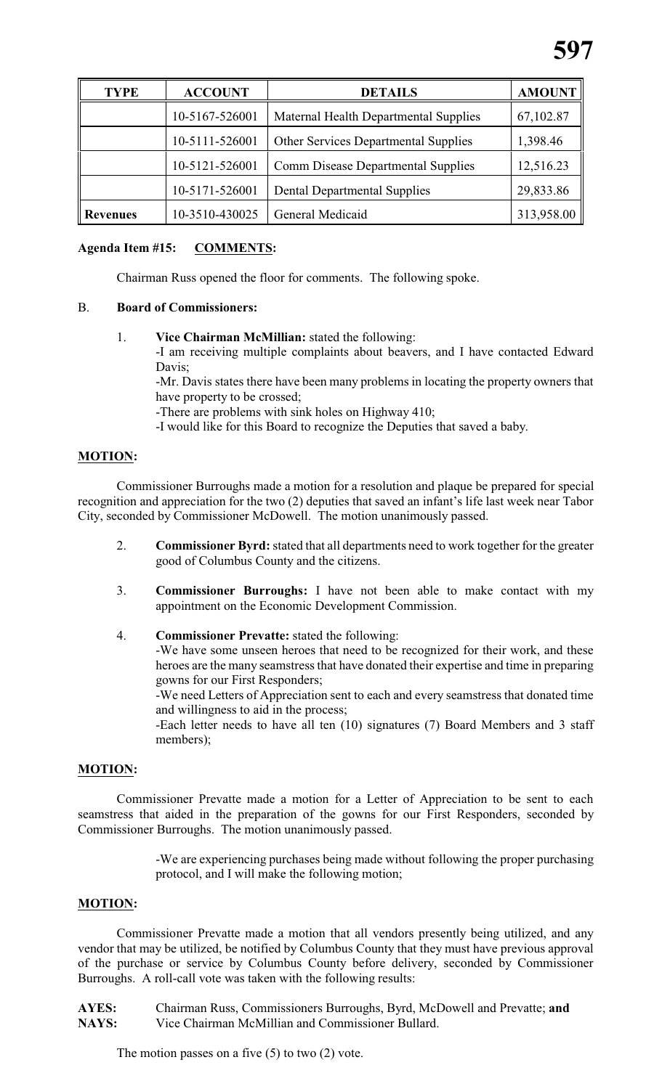| <b>TYPE</b>     | <b>ACCOUNT</b> | <b>DETAILS</b>                              | <b>AMOUNT</b> |
|-----------------|----------------|---------------------------------------------|---------------|
|                 | 10-5167-526001 | Maternal Health Departmental Supplies       | 67,102.87     |
|                 | 10-5111-526001 | <b>Other Services Departmental Supplies</b> | 1,398.46      |
|                 | 10-5121-526001 | <b>Comm Disease Departmental Supplies</b>   | 12,516.23     |
|                 | 10-5171-526001 | <b>Dental Departmental Supplies</b>         | 29,833.86     |
| <b>Revenues</b> | 10-3510-430025 | General Medicaid                            | 313,958.00    |

# **Agenda Item #15: COMMENTS:**

Chairman Russ opened the floor for comments. The following spoke.

# B. **Board of Commissioners:**

1. **Vice Chairman McMillian:** stated the following:

-I am receiving multiple complaints about beavers, and I have contacted Edward Davis;

-Mr. Davis states there have been many problems in locating the property owners that have property to be crossed;

-There are problems with sink holes on Highway 410;

-I would like for this Board to recognize the Deputies that saved a baby.

# **MOTION:**

Commissioner Burroughs made a motion for a resolution and plaque be prepared for special recognition and appreciation for the two (2) deputies that saved an infant's life last week near Tabor City, seconded by Commissioner McDowell. The motion unanimously passed.

- 2. **Commissioner Byrd:**stated that all departments need to work together for the greater good of Columbus County and the citizens.
- 3. **Commissioner Burroughs:** I have not been able to make contact with my appointment on the Economic Development Commission.
- 4. **Commissioner Prevatte:** stated the following:

-We have some unseen heroes that need to be recognized for their work, and these heroes are the many seamstress that have donated their expertise and time in preparing gowns for our First Responders;

-We need Letters of Appreciation sent to each and every seamstress that donated time and willingness to aid in the process;

-Each letter needs to have all ten (10) signatures (7) Board Members and 3 staff members);

# **MOTION:**

Commissioner Prevatte made a motion for a Letter of Appreciation to be sent to each seamstress that aided in the preparation of the gowns for our First Responders, seconded by Commissioner Burroughs. The motion unanimously passed.

> -We are experiencing purchases being made without following the proper purchasing protocol, and I will make the following motion;

# **MOTION:**

Commissioner Prevatte made a motion that all vendors presently being utilized, and any vendor that may be utilized, be notified by Columbus County that they must have previous approval of the purchase or service by Columbus County before delivery, seconded by Commissioner Burroughs. A roll-call vote was taken with the following results:

**AYES:** Chairman Russ, Commissioners Burroughs, Byrd, McDowell and Prevatte; **and** Vice Chairman McMillian and Commissioner Bullard.

The motion passes on a five  $(5)$  to two  $(2)$  vote.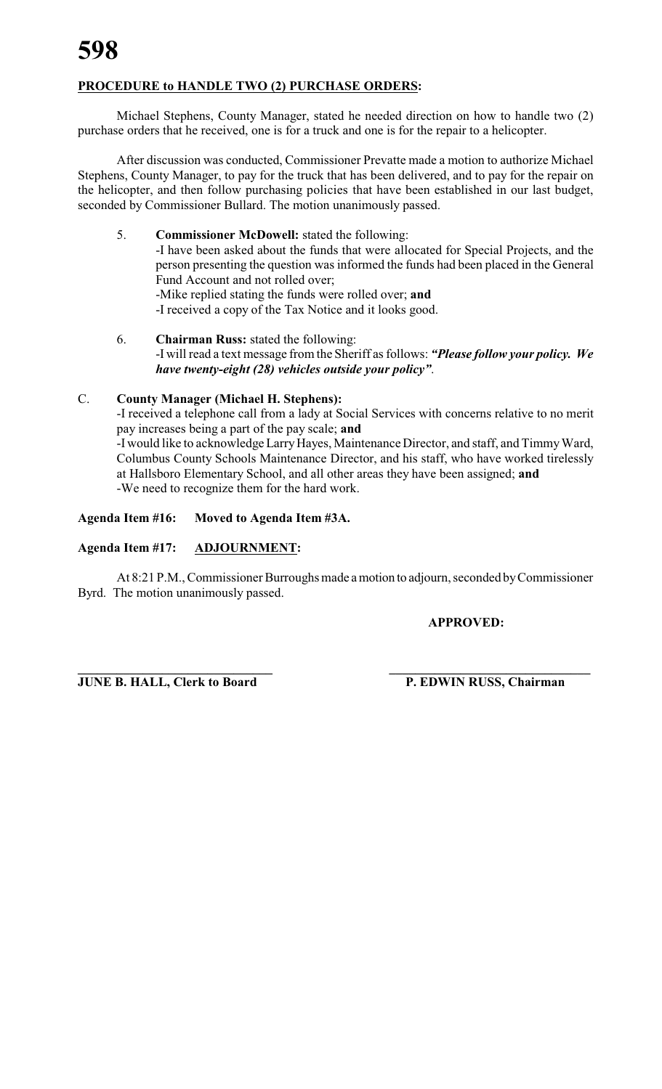# **PROCEDURE to HANDLE TWO (2) PURCHASE ORDERS:**

Michael Stephens, County Manager, stated he needed direction on how to handle two (2) purchase orders that he received, one is for a truck and one is for the repair to a helicopter.

After discussion was conducted, Commissioner Prevatte made a motion to authorize Michael Stephens, County Manager, to pay for the truck that has been delivered, and to pay for the repair on the helicopter, and then follow purchasing policies that have been established in our last budget, seconded by Commissioner Bullard. The motion unanimously passed.

- 5. **Commissioner McDowell:** stated the following: -I have been asked about the funds that were allocated for Special Projects, and the person presenting the question was informed the funds had been placed in the General Fund Account and not rolled over; -Mike replied stating the funds were rolled over; **and** -I received a copy of the Tax Notice and it looks good.
- 6. **Chairman Russ:** stated the following: -I will read a text message from the Sheriff as follows: *"Please follow your policy. We have twenty-eight (28) vehicles outside your policy"*.

# C. **County Manager (Michael H. Stephens):**

-I received a telephone call from a lady at Social Services with concerns relative to no merit pay increases being a part of the pay scale; **and**

-I would like to acknowledge Larry Hayes, Maintenance Director, and staff, and Timmy Ward, Columbus County Schools Maintenance Director, and his staff, who have worked tirelessly at Hallsboro Elementary School, and all other areas they have been assigned; **and** -We need to recognize them for the hard work.

**Agenda Item #16: Moved to Agenda Item #3A.**

# **Agenda Item #17: ADJOURNMENT:**

At 8:21 P.M., Commissioner Burroughs made a motion to adjourn, seconded byCommissioner Byrd. The motion unanimously passed.

**APPROVED:**

**JUNE B. HALL, Clerk to Board P. EDWIN RUSS, Chairman** 

**\_\_\_\_\_\_\_\_\_\_\_\_\_\_\_\_\_\_\_\_\_\_\_\_\_\_\_\_\_\_ \_\_\_\_\_\_\_\_\_\_\_\_\_\_\_\_\_\_\_\_\_\_\_\_\_\_\_\_\_\_\_**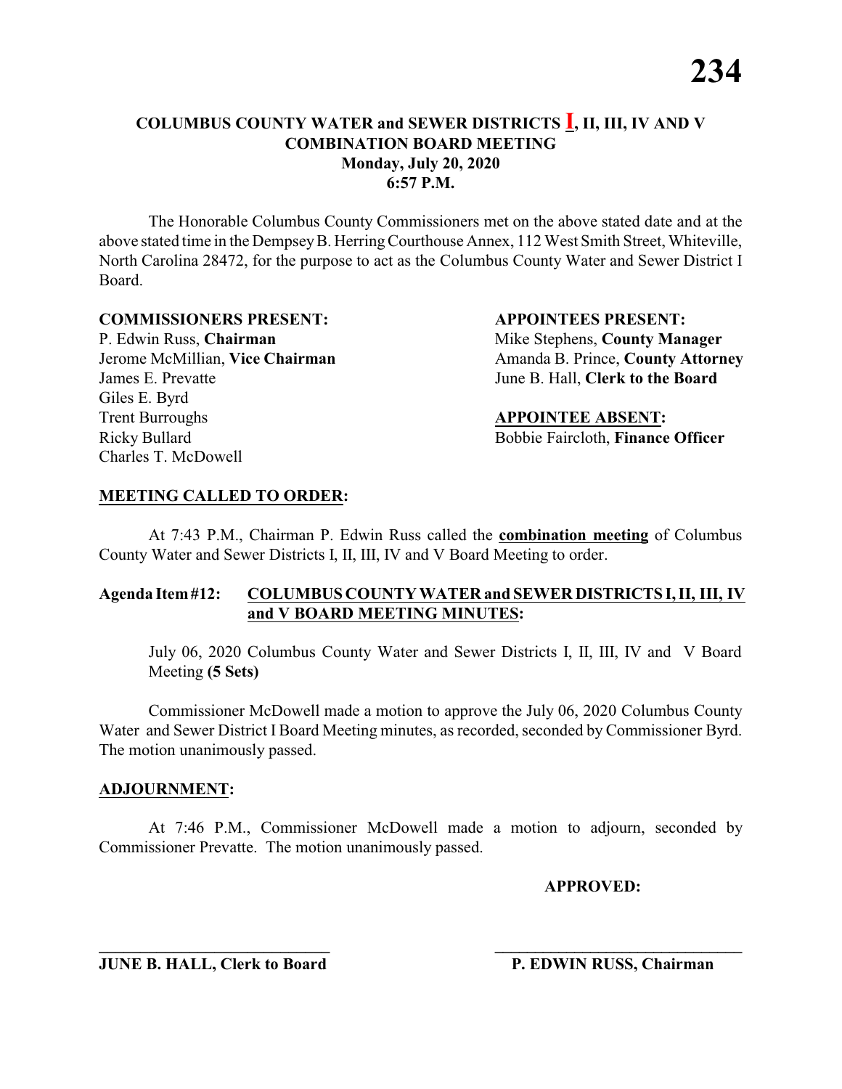The Honorable Columbus County Commissioners met on the above stated date and at the above stated time in the DempseyB. HerringCourthouse Annex, 112 West Smith Street, Whiteville, North Carolina 28472, for the purpose to act as the Columbus County Water and Sewer District I Board.

#### **COMMISSIONERS PRESENT: APPOINTEES PRESENT:**

P. Edwin Russ, **Chairman** Mike Stephens, **County Manager** James E. Prevatte June B. Hall, **Clerk to the Board** Giles E. Byrd **Trent Burroughs APPOINTEE ABSENT:** Ricky Bullard Bobbie Faircloth, **Finance Officer** Charles T. McDowell

Jerome McMillian, **Vice Chairman** Amanda B. Prince, **County Attorney** 

# **MEETING CALLED TO ORDER:**

At 7:43 P.M., Chairman P. Edwin Russ called the **combination meeting** of Columbus County Water and Sewer Districts I, II, III, IV and V Board Meeting to order.

# **Agenda Item#12: COLUMBUS COUNTY WATER and SEWER DISTRICTS I, II, III, IV and V BOARD MEETING MINUTES:**

July 06, 2020 Columbus County Water and Sewer Districts I, II, III, IV and V Board Meeting **(5 Sets)**

Commissioner McDowell made a motion to approve the July 06, 2020 Columbus County Water and Sewer District I Board Meeting minutes, as recorded, seconded by Commissioner Byrd. The motion unanimously passed.

# **ADJOURNMENT:**

At 7:46 P.M., Commissioner McDowell made a motion to adjourn, seconded by Commissioner Prevatte. The motion unanimously passed.

**\_\_\_\_\_\_\_\_\_\_\_\_\_\_\_\_\_\_\_\_\_\_\_\_\_\_\_\_ \_\_\_\_\_\_\_\_\_\_\_\_\_\_\_\_\_\_\_\_\_\_\_\_\_\_\_\_\_\_\_**

**APPROVED:**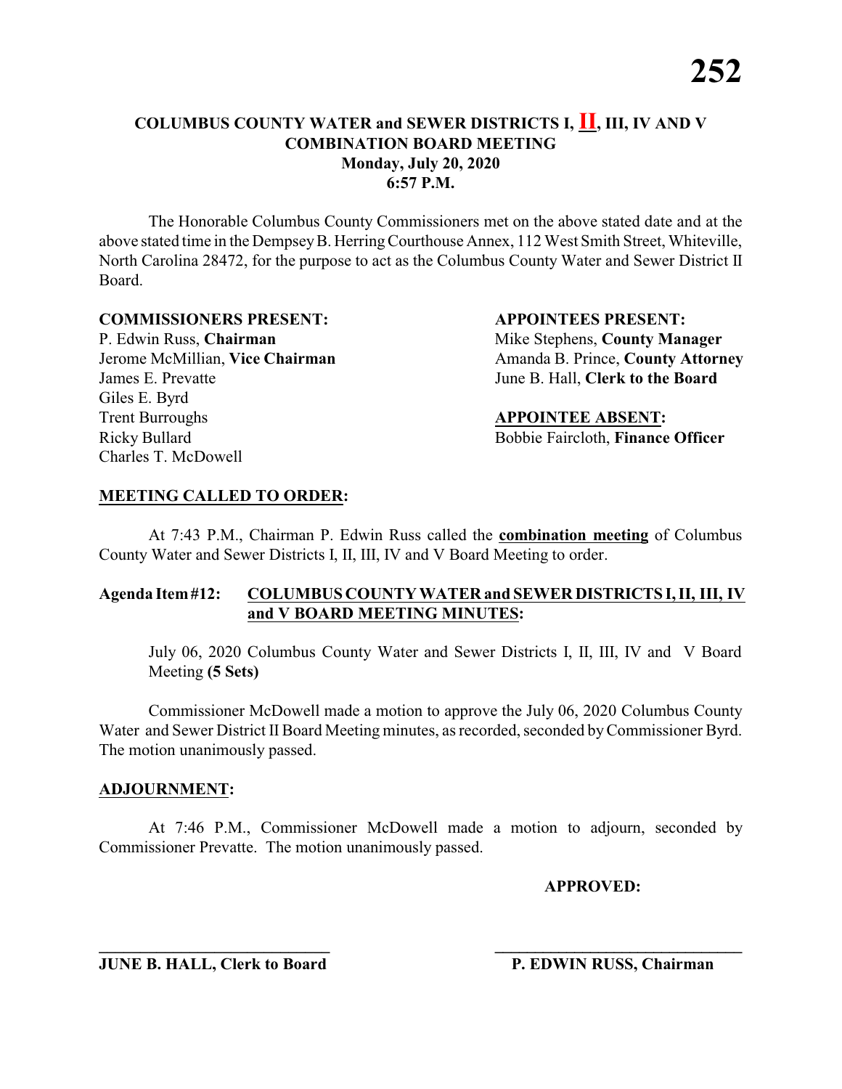The Honorable Columbus County Commissioners met on the above stated date and at the above stated time in the DempseyB. HerringCourthouse Annex, 112 West Smith Street, Whiteville, North Carolina 28472, for the purpose to act as the Columbus County Water and Sewer District II Board.

#### **COMMISSIONERS PRESENT: APPOINTEES PRESENT:**

P. Edwin Russ, **Chairman** Mike Stephens, **County Manager** James E. Prevatte June B. Hall, **Clerk to the Board** Giles E. Byrd **Trent Burroughs APPOINTEE ABSENT:** Ricky Bullard Bobbie Faircloth, **Finance Officer** Charles T. McDowell

Jerome McMillian, **Vice Chairman** Amanda B. Prince, **County Attorney** 

# **MEETING CALLED TO ORDER:**

At 7:43 P.M., Chairman P. Edwin Russ called the **combination meeting** of Columbus County Water and Sewer Districts I, II, III, IV and V Board Meeting to order.

# **Agenda Item#12: COLUMBUS COUNTY WATER and SEWER DISTRICTS I, II, III, IV and V BOARD MEETING MINUTES:**

July 06, 2020 Columbus County Water and Sewer Districts I, II, III, IV and V Board Meeting **(5 Sets)**

Commissioner McDowell made a motion to approve the July 06, 2020 Columbus County Water and Sewer District II Board Meeting minutes, as recorded, seconded by Commissioner Byrd. The motion unanimously passed.

# **ADJOURNMENT:**

At 7:46 P.M., Commissioner McDowell made a motion to adjourn, seconded by Commissioner Prevatte. The motion unanimously passed.

**\_\_\_\_\_\_\_\_\_\_\_\_\_\_\_\_\_\_\_\_\_\_\_\_\_\_\_\_ \_\_\_\_\_\_\_\_\_\_\_\_\_\_\_\_\_\_\_\_\_\_\_\_\_\_\_\_\_\_\_**

**APPROVED:**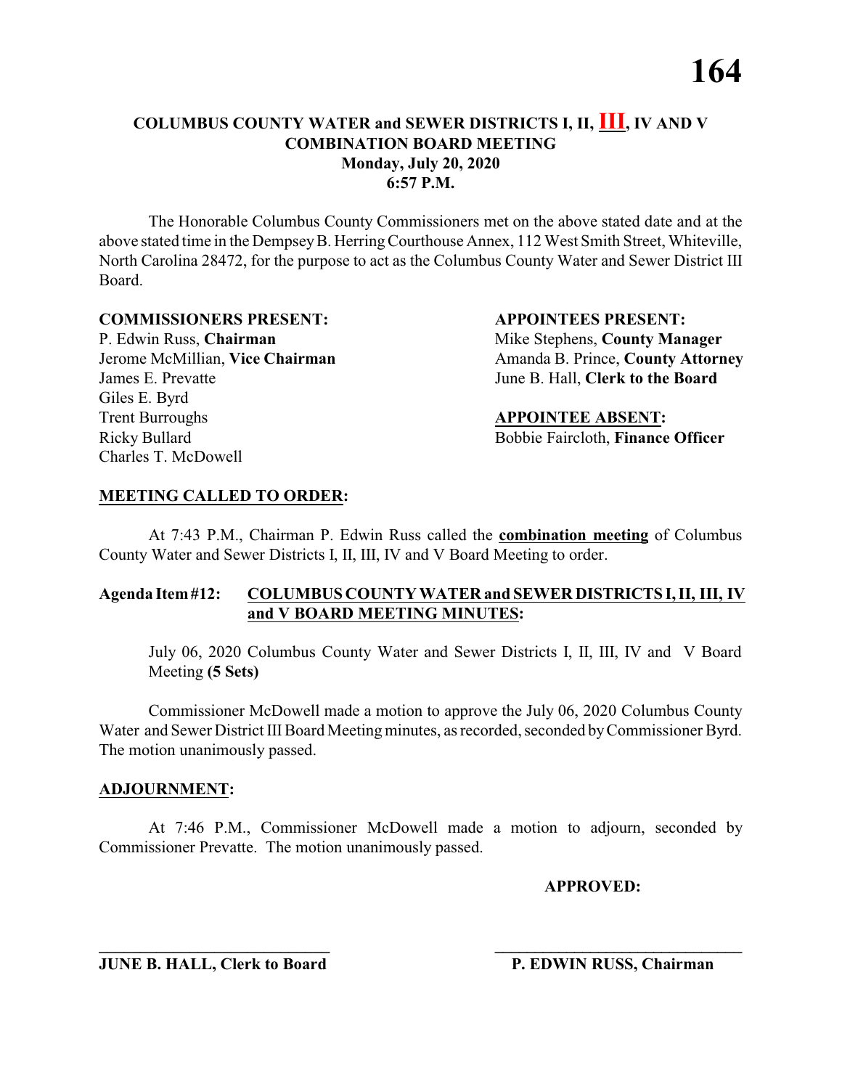The Honorable Columbus County Commissioners met on the above stated date and at the above stated time in the DempseyB. HerringCourthouse Annex, 112 West Smith Street, Whiteville, North Carolina 28472, for the purpose to act as the Columbus County Water and Sewer District III Board.

#### **COMMISSIONERS PRESENT: APPOINTEES PRESENT:**

P. Edwin Russ, **Chairman** Mike Stephens, **County Manager** James E. Prevatte June B. Hall, **Clerk to the Board** Giles E. Byrd **Trent Burroughs APPOINTEE ABSENT:** Ricky Bullard Bobbie Faircloth, **Finance Officer** Charles T. McDowell

Jerome McMillian, **Vice Chairman** Amanda B. Prince, **County Attorney** 

# **MEETING CALLED TO ORDER:**

At 7:43 P.M., Chairman P. Edwin Russ called the **combination meeting** of Columbus County Water and Sewer Districts I, II, III, IV and V Board Meeting to order.

# **Agenda Item#12: COLUMBUS COUNTY WATER and SEWER DISTRICTS I, II, III, IV and V BOARD MEETING MINUTES:**

July 06, 2020 Columbus County Water and Sewer Districts I, II, III, IV and V Board Meeting **(5 Sets)**

Commissioner McDowell made a motion to approve the July 06, 2020 Columbus County Water and Sewer District III Board Meeting minutes, as recorded, seconded by Commissioner Byrd. The motion unanimously passed.

# **ADJOURNMENT:**

At 7:46 P.M., Commissioner McDowell made a motion to adjourn, seconded by Commissioner Prevatte. The motion unanimously passed.

**\_\_\_\_\_\_\_\_\_\_\_\_\_\_\_\_\_\_\_\_\_\_\_\_\_\_\_\_ \_\_\_\_\_\_\_\_\_\_\_\_\_\_\_\_\_\_\_\_\_\_\_\_\_\_\_\_\_\_\_**

**APPROVED:**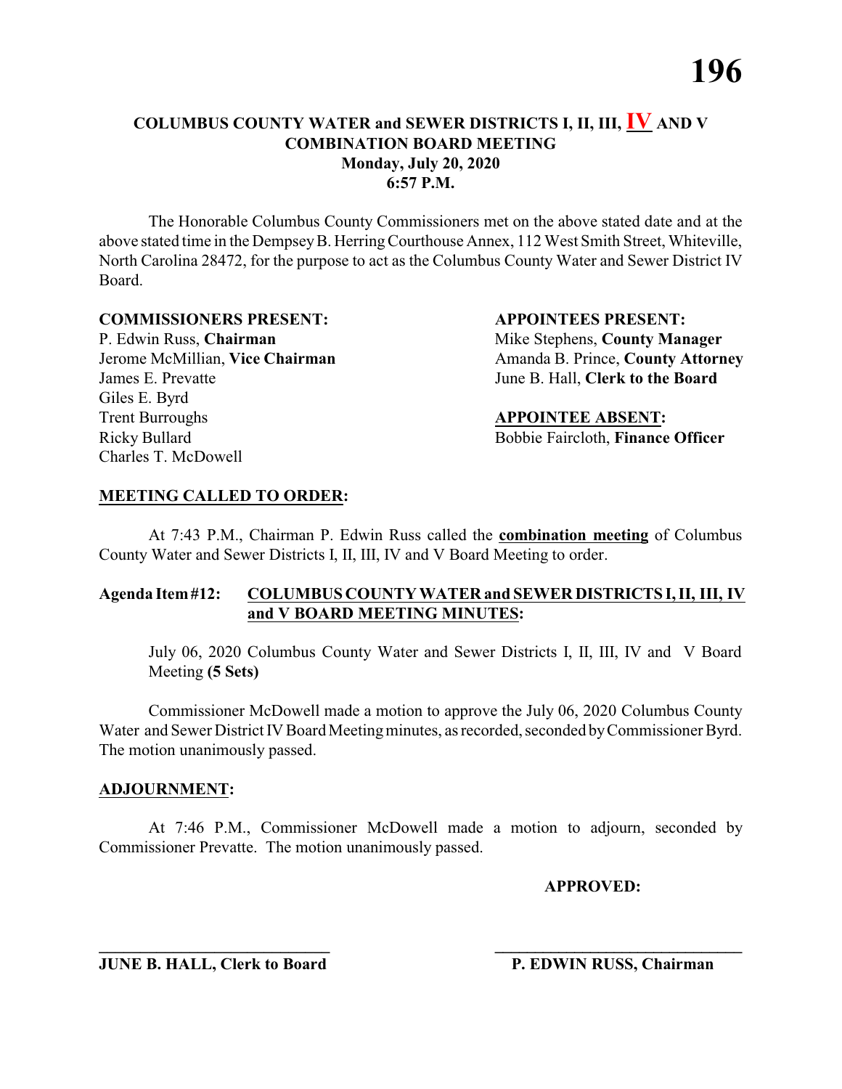The Honorable Columbus County Commissioners met on the above stated date and at the above stated time in the DempseyB. HerringCourthouse Annex, 112 West Smith Street, Whiteville, North Carolina 28472, for the purpose to act as the Columbus County Water and Sewer District IV Board.

#### **COMMISSIONERS PRESENT: APPOINTEES PRESENT:**

P. Edwin Russ, **Chairman** Mike Stephens, **County Manager** James E. Prevatte June B. Hall, **Clerk to the Board** Giles E. Byrd **Trent Burroughs APPOINTEE ABSENT:** Ricky Bullard Bobbie Faircloth, **Finance Officer** Charles T. McDowell

Jerome McMillian, **Vice Chairman** Amanda B. Prince, **County Attorney** 

# **MEETING CALLED TO ORDER:**

At 7:43 P.M., Chairman P. Edwin Russ called the **combination meeting** of Columbus County Water and Sewer Districts I, II, III, IV and V Board Meeting to order.

# **Agenda Item#12: COLUMBUS COUNTY WATER and SEWER DISTRICTS I, II, III, IV and V BOARD MEETING MINUTES:**

July 06, 2020 Columbus County Water and Sewer Districts I, II, III, IV and V Board Meeting **(5 Sets)**

Commissioner McDowell made a motion to approve the July 06, 2020 Columbus County Water and Sewer District IV Board Meeting minutes, as recorded, seconded by Commissioner Byrd. The motion unanimously passed.

# **ADJOURNMENT:**

At 7:46 P.M., Commissioner McDowell made a motion to adjourn, seconded by Commissioner Prevatte. The motion unanimously passed.

**\_\_\_\_\_\_\_\_\_\_\_\_\_\_\_\_\_\_\_\_\_\_\_\_\_\_\_\_ \_\_\_\_\_\_\_\_\_\_\_\_\_\_\_\_\_\_\_\_\_\_\_\_\_\_\_\_\_\_\_**

**APPROVED:**